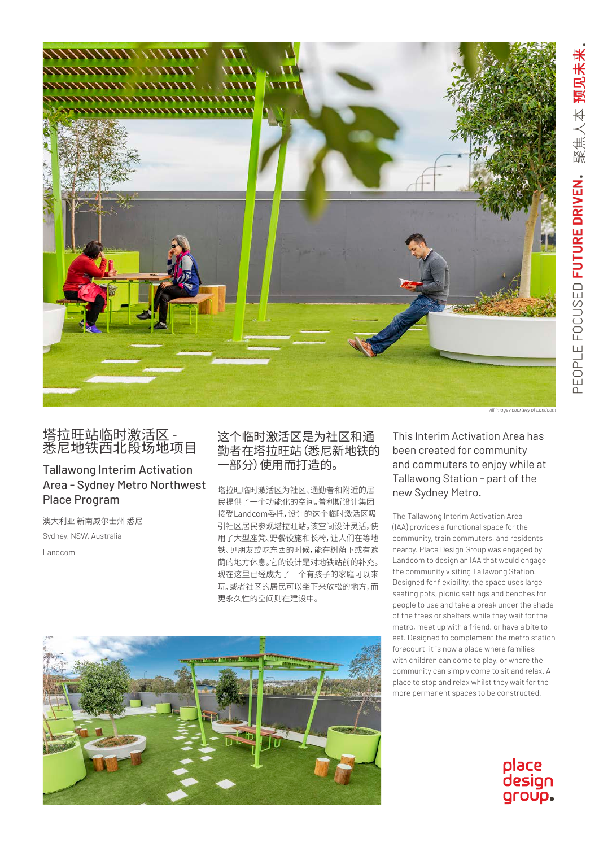

## 塔拉旺站临时激活区 - 悉尼地铁西北段场地项目

## Tallawong Interim Activation Area - Sydney Metro Northwest Place Program

澳大利亚 新南威尔士州 悉尼 Sydney, NSW, Australia Landcom

这个临时激活区是为社区和通 勤者在塔拉旺站(悉尼新地铁的 一部分)使用而打造的。

塔拉旺临时激活区为社区、通勤者和附近的居 民提供了一个功能化的空间。普利斯设计集团 接受Landcom委托,设计的这个临时激活区吸 引社区居民参观塔拉旺站。该空间设计灵活,使 用了大型座凳、野餐设施和长椅,让人们在等地 铁、见朋友或吃东西的时候,能在树荫下或有遮 荫的地方休息。它的设计是对地铁站前的补充。 现在这里已经成为了一个有孩子的家庭可以来 玩、或者社区的居民可以坐下来放松的地方,而 更永久性的空间则在建设中。

This Interim Activation Area has been created for community and commuters to enjoy while at Tallawong Station - part of the new Sydney Metro.

The Tallawong Interim Activation Area (IAA) provides a functional space for the community, train commuters, and residents nearby. Place Design Group was engaged by Landcom to design an IAA that would engage the community visiting Tallawong Station. Designed for flexibility, the space uses large seating pots, picnic settings and benches for people to use and take a break under the shade of the trees or shelters while they wait for the metro, meet up with a friend, or have a bite to eat. Designed to complement the metro station forecourt, it is now a place where families with children can come to play, or where the community can simply come to sit and relax. A place to stop and relax whilst they wait for the more permanent spaces to be constructed.